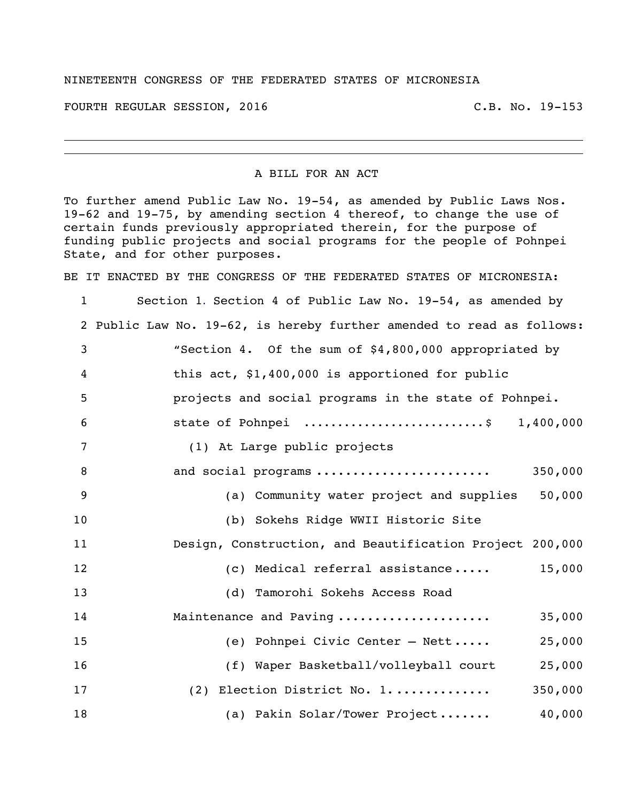## NINETEENTH CONGRESS OF THE FEDERATED STATES OF MICRONESIA

FOURTH REGULAR SESSION, 2016 C.B. No. 19-153

## A BILL FOR AN ACT

To further amend Public Law No. 19-54, as amended by Public Laws Nos. 19-62 and 19-75, by amending section 4 thereof, to change the use of certain funds previously appropriated therein, for the purpose of funding public projects and social programs for the people of Pohnpei State, and for other purposes.

BE IT ENACTED BY THE CONGRESS OF THE FEDERATED STATES OF MICRONESIA:

 Section 1. Section 4 of Public Law No. 19-54, as amended by Public Law No. 19-62, is hereby further amended to read as follows: "Section 4. Of the sum of \$4,800,000 appropriated by this act, \$1,400,000 is apportioned for public projects and social programs in the state of Pohnpei. state of Pohnpei ........................... \$ 1,400,000 (1) At Large public projects and social programs ........................ 350,000 (a) Community water project and supplies 50,000 (b) Sokehs Ridge WWII Historic Site Design, Construction, and Beautification Project 200,000 12 (c) Medical referral assistance ..... 15,000 (d) Tamorohi Sokehs Access Road Maintenance and Paving ..................... 35,000 (e) Pohnpei Civic Center – Nett ..... 25,000 (f) Waper Basketball/volleyball court 25,000 (2) Election District No. 1. ............. 350,000 18 (a) Pakin Solar/Tower Project....... 40,000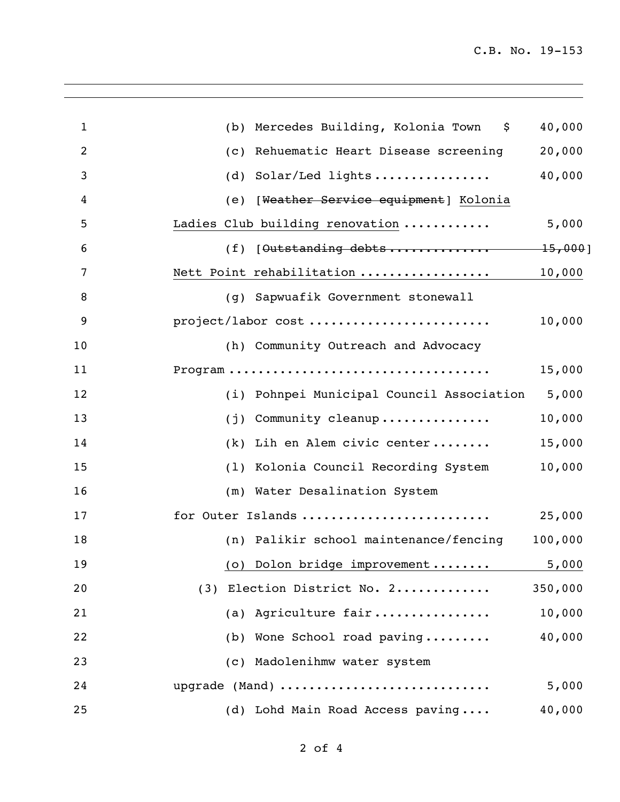| $\mathbf{1}$   | (b) Mercedes Building, Kolonia Town \$    | 40,000  |
|----------------|-------------------------------------------|---------|
| $\overline{2}$ | Rehuematic Heart Disease screening<br>(C) | 20,000  |
| 3              | Solar/Led lights<br>(d)                   | 40,000  |
| 4              | (e) [Weather Service equipment] Kolonia   |         |
| 5              | Ladies Club building renovation           | 5,000   |
| 6              |                                           |         |
| 7              | Nett Point rehabilitation                 | 10,000  |
| 8              | (g) Sapwuafik Government stonewall        |         |
| 9              | project/labor cost                        | 10,000  |
| 10             | (h) Community Outreach and Advocacy       |         |
| 11             |                                           | 15,000  |
| 12             | (i) Pohnpei Municipal Council Association | 5,000   |
| 13             | Community cleanup<br>(j)                  | 10,000  |
| 14             | (k) Lih en Alem civic center              | 15,000  |
| 15             | (1) Kolonia Council Recording System      | 10,000  |
| 16             | (m) Water Desalination System             |         |
| 17             | for Outer Islands                         | 25,000  |
| 18             | (n) Palikir school maintenance/fencing    | 100,000 |
| 19             | (o) Dolon bridge improvement  5,000       |         |
| 20             | (3) Election District No. 2               | 350,000 |
| 21             | (a) Agriculture fair                      | 10,000  |
| 22             | (b) Wone School road paving               | 40,000  |
| 23             | (c) Madolenihmw water system              |         |
| 24             | upgrade (Mand)                            | 5,000   |
| 25             | (d) Lohd Main Road Access paving          | 40,000  |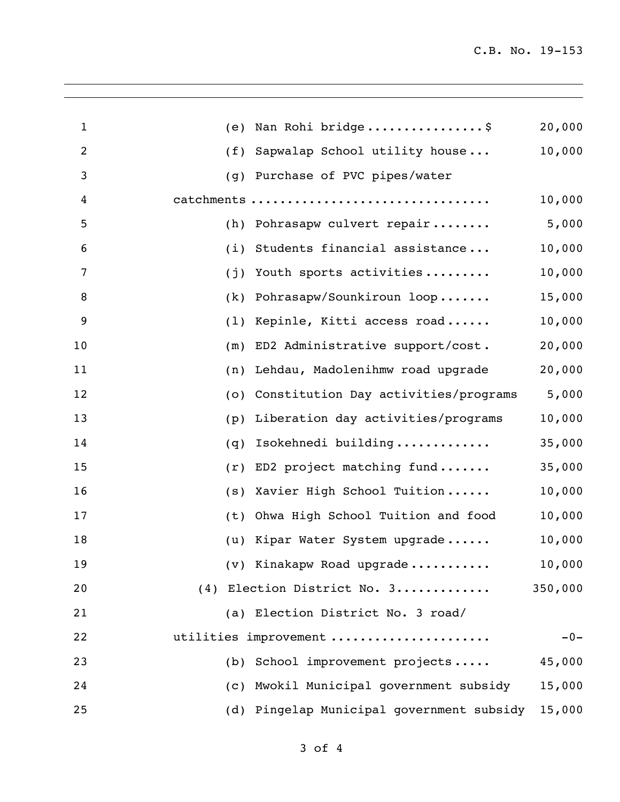| 1              | (e) | Nan Rohi bridge\$                         | 20,000  |
|----------------|-----|-------------------------------------------|---------|
| $\overline{2}$ | (f) | Sapwalap School utility house             | 10,000  |
| 3              | (q) | Purchase of PVC pipes/water               |         |
| 4              |     | catchments                                | 10,000  |
| 5              | (h) | Pohrasapw culvert repair                  | 5,000   |
| 6              | (i) | Students financial assistance             | 10,000  |
| 7              | (i) | Youth sports activities                   | 10,000  |
| 8              | (k) | Pohrasapw/Sounkiroun loop                 | 15,000  |
| 9              | (1) | Kepinle, Kitti access road                | 10,000  |
| 10             | (m) | ED2 Administrative support/cost.          | 20,000  |
| 11             | (n) | Lehdau, Madolenihmw road upgrade          | 20,000  |
| 12             | (0) | Constitution Day activities/programs      | 5,000   |
| 13             | (p) | Liberation day activities/programs        | 10,000  |
| 14             | (q) | Isokehnedi building                       | 35,000  |
| 15             | (r) | ED2 project matching fund                 | 35,000  |
| 16             | (s) | Xavier High School Tuition                | 10,000  |
| 17             | (t) | Ohwa High School Tuition and food         | 10,000  |
| 18             | (u) | Kipar Water System upgrade                | 10,000  |
| 19             |     | (v) Kinakapw Road upgrade                 | 10,000  |
| 20             |     | (4) Election District No. 3               | 350,000 |
| 21             |     | (a) Election District No. 3 road/         |         |
| 22             |     | utilities improvement                     | $-0-$   |
| 23             |     | (b) School improvement projects           | 45,000  |
| 24             | (C) | Mwokil Municipal government subsidy       | 15,000  |
| 25             |     | (d) Pingelap Municipal government subsidy | 15,000  |
|                |     |                                           |         |